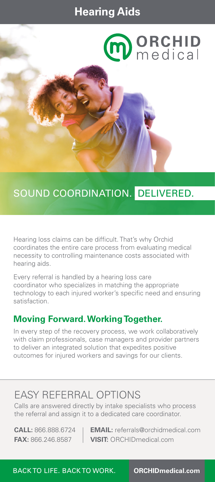## **Hearing Aids**

# **m** ORCHID

## SOUND COORDINATION. DELIVERED.

Hearing loss claims can be difficult. That's why Orchid coordinates the entire care process from evaluating medical necessity to controlling maintenance costs associated with hearing aids.

Every referral is handled by a hearing loss care coordinator who specializes in matching the appropriate technology to each injured worker's specific need and ensuring satisfaction.

#### **Moving Forward. Working Together.**

In every step of the recovery process, we work collaboratively with claim professionals, case managers and provider partners to deliver an integrated solution that expedites positive outcomes for injured workers and savings for our clients.

## EASY REFERRAL OPTIONS

Calls are answered directly by intake specialists who process the referral and assign it to a dedicated care coordinator.

**CALL:** 866.888.6724 **EMAIL:** referrals@orchidmedical.com **FAX:** 866.246.8587 **VISIT:** ORCHIDmedical.com

BACK TO LIFE. BACK TO WORK. **ORCHIDmedical.com**